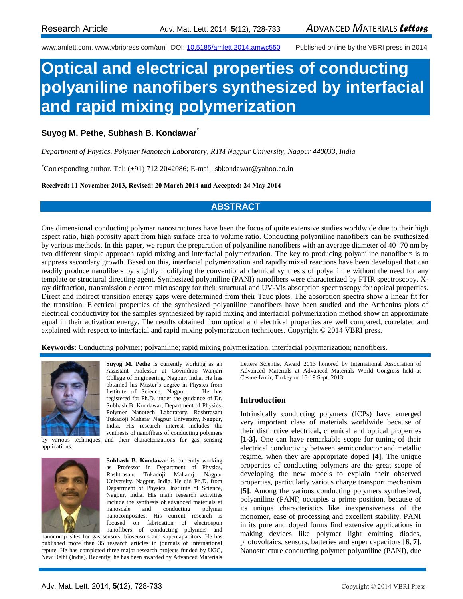www.amlett.com, www.vbripress.com/aml, DOI: [10.5185/amlett.2014.amwc550](http://dx.doi.org/10.5185/amlett.2014.amwc550) Published online by the VBRI press in 2014

# **Optical and electrical properties of conducting polyaniline nanofibers synthesized by interfacial and rapid mixing polymerization**

## **Suyog M. Pethe, Subhash B. Kondawar\***

*Department of Physics, Polymer Nanotech Laboratory, RTM Nagpur University, Nagpur 440033, India*

\*Corresponding author. Tel: (+91) 712 2042086; E-mail: sbkondawar@yahoo.co.in

#### **Received: 11 November 2013, Revised: 20 March 2014 and Accepted: 24 May 2014**

## **ABSTRACT**

One dimensional conducting polymer nanostructures have been the focus of quite extensive studies worldwide due to their high aspect ratio, high porosity apart from high surface area to volume ratio. Conducting polyaniline nanofibers can be synthesized by various methods. In this paper, we report the preparation of polyaniline nanofibers with an average diameter of 40–70 nm by two different simple approach rapid mixing and interfacial polymerization. The key to producing polyaniline nanofibers is to suppress secondary growth. Based on this, interfacial polymerization and rapidly mixed reactions have been developed that can readily produce nanofibers by slightly modifying the conventional chemical synthesis of polyaniline without the need for any template or structural directing agent. Synthesized polyaniline (PANI) nanofibers were characterized by FTIR spectroscopy, Xray diffraction, transmission electron microscopy for their structural and UV-Vis absorption spectroscopy for optical properties. Direct and indirect transition energy gaps were determined from their Tauc plots. The absorption spectra show a linear fit for the transition. Electrical properties of the synthesized polyaniline nanofibers have been studied and the Arrhenius plots of electrical conductivity for the samples synthesized by rapid mixing and interfacial polymerization method show an approximate equal in their activation energy. The results obtained from optical and electrical properties are well compared, correlated and explained with respect to interfacial and rapid mixing polymerization techniques. Copyright © 2014 VBRI press.

**Keywords:** Conducting polymer; polyaniline; rapid mixing polymerization; interfacial polymerization; nanofibers.



**Suyog M. Pethe** is currently working as an Assistant Professor at Govindrao Wanjari College of Engineering, Nagpur, India. He has obtained his Master's degree in Physics from Institute of Science, Nagpur. He has registered for Ph.D. under the guidance of Dr. Subhash B. Kondawar, Department of Physics, Polymer Nanotech Laboratory, Rashtrasant Tukadoji Maharaj Nagpur University, Nagpur, India. His research interest includes the

applications.



synthesis of nanofibers of conducting polymers by various techniques and their characterizations for gas sensing **Subhash B. Kondawar** is currently working as Professor in Department of Physics, Rashtrasant Tukadoji Maharaj, Nagpur University, Nagpur, India. He did Ph.D. from Department of Physics, Institute of Science, Nagpur, India. His main research activities include the synthesis of advanced materials at nanoscale and conducting polymer nanocomposites. His current research is

focused on fabrication of electrospun

nanocomposites for gas sensors, biosensors and supercapacitors. He has published more than 35 research articles in journals of international repute. He has completed three major research projects funded by UGC, New Delhi (India). Recently, he has been awarded by Advanced Materials

Letters Scientist Award 2013 honored by International Association of Advanced Materials at Advanced Materials World Congress held at Cesme-Izmir, Turkey on 16-19 Sept. 2013.

#### **Introduction**

Intrinsically conducting polymers (ICPs) have emerged very important class of materials worldwide because of their distinctive electrical**,** chemical and optical properties **[1-3].** One can have remarkable scope for tuning of their electrical conductivity between semiconductor and metallic regime, when they are appropriate doped **[4]**. The unique properties of conducting polymers are the great scope of developing the new models to explain their observed properties, particularly various charge transport mechanism **[5]**. Among the various conducting polymers synthesized, polyaniline (PANI) occupies a prime position, because of its unique characteristics like inexpensiveness of the monomer, ease of processing and excellent stability. PANI in its pure and doped forms find extensive applications in making devices like polymer light emitting diodes, photovoltaics, sensors, batteries and super capacitors **[6, 7]**. Nanostructure conducting polymer polyaniline (PANI), due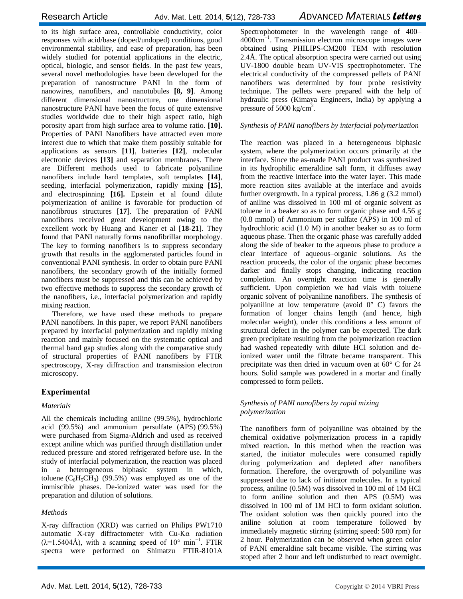to its high surface area, controllable conductivity, color responses with acid/base (doped/undoped) conditions, good environmental stability, and ease of preparation, has been widely studied for potential applications in the electric, optical, biologic, and sensor fields. In the past few years, several novel methodologies have been developed for the preparation of nanostructure PANI in the form of nanowires, nanofibers, and nanotubules **[8, 9]**. Among different dimensional nanostructure, one dimensional nanostructure PANI have been the focus of quite extensive studies worldwide due to their high aspect ratio, high porosity apart from high surface area to volume ratio. **[10].**  Properties of PANI Nanofibers have attracted even more interest due to which that make them possibly suitable for applications as sensors **[11]**, batteries **[12]**, molecular electronic devices **[13]** and separation membranes. There are Different methods used to fabricate polyaniline nanofibers include hard templates, soft templates **[14]**, seeding, interfacial polymerization, rapidly mixing **[15]**, and electrospinning **[16].** Epstein et al found dilute polymerization of aniline is favorable for production of nanofibrous structures [**17**]. The preparation of PANI nanofibers received great development owing to the excellent work by Huang and Kaner et al [**18**-**21**]. They found that PANI naturally forms nanofibrillar morphology. The key to forming nanofibers is to suppress secondary growth that results in the agglomerated particles found in conventional PANI synthesis. In order to obtain pure PANI nanofibers, the secondary growth of the initially formed nanofibers must be suppressed and this can be achieved by two effective methods to suppress the secondary growth of the nanofibers, i.e., interfacial polymerization and rapidly mixing reaction.

Therefore, we have used these methods to prepare PANI nanofibers. In this paper, we report PANI nanofibers prepared by interfacial polymerization and rapidly mixing reaction and mainly focused on the systematic optical and thermal band gap studies along with the comparative study of structural properties of PANI nanofibers by FTIR spectroscopy, X-ray diffraction and transmission electron microscopy.

#### **Experimental**

#### *Materials*

All the chemicals including aniline (99.5%), hydrochloric acid (99.5%) and ammonium persulfate (APS) (99.5%) were purchased from Sigma-Aldrich and used as received except aniline which was purified through distillation under reduced pressure and stored refrigerated before use. In the study of interfacial polymerization*,* the reaction was placed in a heterogeneous biphasic system in which, toluene  $(C_6H_5CH_3)$  (99.5%) was employed as one of the immiscible phases. De-ionized water was used for the preparation and dilution of solutions.

#### *Methods*

X-ray diffraction (XRD) was carried on Philips PW1710 automatic X-ray diffractometer with Cu-Kα radiation  $(\lambda=1.5404\text{\AA})$ , with a scanning speed of 10° min<sup>-1</sup>. FTIR spectra were performed on Shimatzu FTIR-8101A

Spectrophotometer in the wavelength range of 400– 4000cm−1. Transmission electron microscope images were obtained using PHILIPS-CM200 TEM with resolution 2.4Å. The optical absorption spectra were carried out using UV-1800 double beam UV-VIS spectrophotometer. The electrical conductivity of the compressed pellets of PANI nanofibers was determined by four probe resistivity technique. The pellets were prepared with the help of hydraulic press (Kimaya Engineers, India) by applying a pressure of 5000 kg/cm<sup>2</sup>.

#### *Synthesis of PANI nanofibers by interfacial polymerization*

The reaction was placed in a heterogeneous biphasic system, where the polymerization occurs primarily at the interface. Since the as-made PANI product was synthesized in its hydrophilic emeraldine salt form, it diffuses away from the reactive interface into the water layer. This made more reaction sites available at the interface and avoids further overgrowth. In a typical process, 1.86 g (3.2 mmol) of aniline was dissolved in 100 ml of organic solvent as toluene in a beaker so as to form organic phase and 4.56 g (0.8 mmol) of Ammonium per sulfate (APS) in 100 ml of hydrochloric acid (1.0 M) in another beaker so as to form aqueous phase. Then the organic phase was carefully added along the side of beaker to the aqueous phase to produce a clear interface of aqueous–organic solutions. As the reaction proceeds, the color of the organic phase becomes darker and finally stops changing, indicating reaction completion. An overnight reaction time is generally sufficient. Upon completion we had vials with toluene organic solvent of polyaniline nanofibers. The synthesis of polyaniline at low temperature (avoid  $0^{\circ}$  C) favors the formation of longer chains length (and hence, high molecular weight), under this conditions a less amount of structural defect in the polymer can be expected. The dark green precipitate resulting from the polymerization reaction had washed repeatedly with dilute HCl solution and deionized water until the filtrate became transparent. This precipitate was then dried in vacuum oven at 60° C for 24 hours. Solid sample was powdered in a mortar and finally compressed to form pellets.

#### *Synthesis of PANI nanofibers by rapid mixing polymerization*

The nanofibers form of polyaniline was obtained by the chemical oxidative polymerization process in a rapidly mixed reaction. In this method when the reaction was started, the initiator molecules were consumed rapidly during polymerization and depleted after nanofibers formation. Therefore, the overgrowth of polyaniline was suppressed due to lack of initiator molecules. In a typical process, aniline (0.5M) was dissolved in 100 ml of 1M HCl to form aniline solution and then APS (0.5M) was dissolved in 100 ml of 1M HCl to form oxidant solution. The oxidant solution was then quickly poured into the aniline solution at room temperature followed by immediately magnetic stirring (stirring speed: 500 rpm) for 2 hour. Polymerization can be observed when green color of PANI emeraldine salt became visible. The stirring was stoped after 2 hour and left undisturbed to react overnight.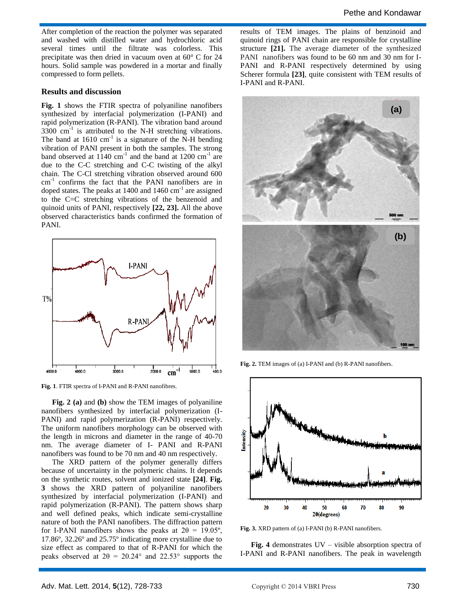After completion of the reaction the polymer was separated and washed with distilled water and hydrochloric acid several times until the filtrate was colorless. This precipitate was then dried in vacuum oven at 60° C for 24 hours. Solid sample was powdered in a mortar and finally compressed to form pellets.

#### **Results and discussion**

**Fig. 1** shows the FTIR spectra of polyaniline nanofibers synthesized by interfacial polymerization (I-PANI) and rapid polymerization (R-PANI). The vibration band around  $3300 \text{ cm}^{-1}$  is attributed to the N-H stretching vibrations. The band at  $1610 \text{ cm}^{-1}$  is a signature of the N-H bending vibration of PANI present in both the samples. The strong band observed at  $1140 \text{ cm}^{-1}$  and the band at  $1200 \text{ cm}^{-1}$  are due to the C-C stretching and C-C twisting of the alkyl chain. The C-Cl stretching vibration observed around 600 cm-1 confirms the fact that the PANI nanofibers are in doped states. The peaks at  $1400$  and  $1460$  cm<sup>-1</sup> are assigned to the C=C stretching vibrations of the benzenoid and quinoid units of PANI, respectively **[22, 23].** All the above observed characteristics bands confirmed the formation of PANI.



**Fig. 1**. FTIR spectra of I-PANI and R-PANI nanofibres.

**Fig. 2 (a)** and **(b)** show the TEM images of polyaniline nanofibers synthesized by interfacial polymerization (I-PANI) and rapid polymerization (R-PANI) respectively. The uniform nanofibers morphology can be observed with the length in microns and diameter in the range of 40-70 nm. The average diameter of I- PANI and R-PANI nanofibers was found to be 70 nm and 40 nm respectively.

The XRD pattern of the polymer generally differs because of uncertainty in the polymeric chains. It depends on the synthetic routes, solvent and ionized state **[24]**. **Fig. 3** shows the XRD pattern of polyaniline nanofibers synthesized by interfacial polymerization (I-PANI) and rapid polymerization (R-PANI). The pattern shows sharp and well defined peaks, which indicate semi-crystalline nature of both the PANI nanofibers. The diffraction pattern for I-PANI nanofibers shows the peaks at  $2\theta = 19.05^{\circ}$ , 17.86º, 32.26º and 25.75º indicating more crystalline due to size effect as compared to that of R-PANI for which the peaks observed at  $2\theta = 20.24^{\circ}$  and  $22.53^{\circ}$  supports the

results of TEM images. The plains of benzinoid and quinoid rings of PANI chain are responsible for crystalline structure **[21].** The average diameter of the synthesized PANI nanofibers was found to be 60 nm and 30 nm for I-PANI and R-PANI respectively determined by using Scherer formula **[23]**, quite consistent with TEM results of I-PANI and R-PANI.



**Fig. 2.** TEM images of (a) I-PANI and (b) R-PANI nanofibers.



**Fig. 3.** XRD pattern of (a) I-PANI (b) R-PANI nanofibers.

**Fig. 4** demonstrates UV – visible absorption spectra of I-PANI and R-PANI nanofibers. The peak in wavelength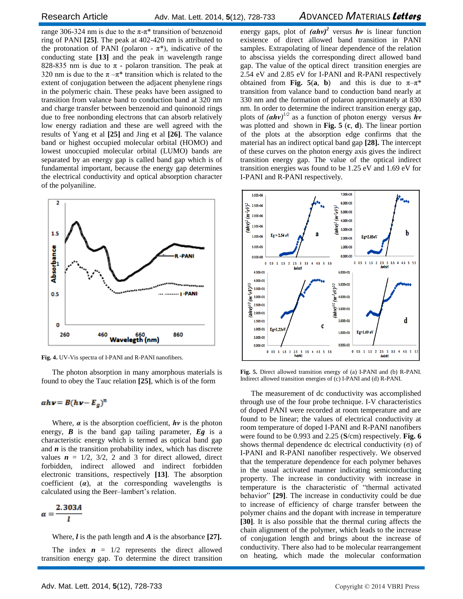Research ArticleAdv. Mat. Lett. 2014, **5**(12), 728-733 *A*DVANCED *M*ATERIALS *Letters*

range 306-324 nm is due to the π-π<sup>\*</sup> transition of benzenoid ring of PANI **[25]**. The peak at 402-420 nm is attributed to the protonation of PANI (polaron -  $\pi^*$ ), indicative of the conducting state **[13]** and the peak in wavelength range 828-835 nm is due to  $\pi$  - polaron transition. The peak at 320 nm is due to the  $\pi - \pi^*$  transition which is related to the extent of conjugation between the adjacent phenylene rings in the polymeric chain. These peaks have been assigned to transition from valance band to conduction band at 320 nm and charge transfer between benzenoid and quinonoid rings due to free nonbonding electrons that can absorb relatively low energy radiation and these are well agreed with the results of Yang et al **[25]** and Jing et al **[26]**. The valance band or highest occupied molecular orbital (HOMO) and lowest unoccupied molecular orbital (LUMO) bands are separated by an energy gap is called band gap which is of fundamental important, because the energy gap determines the electrical conductivity and optical absorption character of the polyaniline.



**Fig. 4.** UV-Vis spectra of I-PANI and R-PANI nanofibers.

The photon absorption in many amorphous materials is found to obey the Tauc relation **[25]**, which is of the form

 $ahv = B(hv - E_g)^n$ 

Where,  $\alpha$  is the absorption coefficient,  $h\nu$  is the photon energy, *B* is the band gap tailing parameter, *Eg* is a characteristic energy which is termed as optical band gap and *n* is the transition probability index, which has discrete values  $\mathbf{n} = 1/2$ ,  $3/2$ , 2 and 3 for direct allowed, direct forbidden, indirect allowed and indirect forbidden electronic transitions, respectively **[13]**. The absorption coefficient  $(a)$ , at the corresponding wavelengths is calculated using the Beer–lambert's relation.

 $\alpha = \frac{2.303A}{l}$ 

Where, *l* is the path length and *A* is the absorbance **[27].**

The index  $\mathbf{n} = 1/2$  represents the direct allowed transition energy gap. To determine the direct transition

energy gaps, plot of  $(ahv)^2$  versus **hv** is linear function existence of direct allowed band transition in PANI samples. Extrapolating of linear dependence of the relation to abscissa yields the corresponding direct allowed band gap. The value of the optical direct transition energies are 2.54 eV and 2.85 eV for I-PANI and R-PANI respectively obtained from **Fig.** 5(**a**, **b**) and this is due to  $\pi-\pi^*$ transition from valance band to conduction band nearly at 330 nm and the formation of polaron approximately at 830 nm. In order to determine the indirect transition energy gap, plots of *(αhν) 1/2* as a function of photon energy versus *hν* was plotted and shown in **Fig. 5** (**c**, **d**). The linear portion of the plots at the absorption edge confirms that the material has an indirect optical band gap **[28].** The intercept of these curves on the photon energy axis gives the indirect transition energy gap. The value of the optical indirect transition energies was found to be 1.25 eV and 1.69 eV for I-PANI and R-PANI respectively.



**Fig. 5.** Direct allowed transition energy of (a) I-PANI and (b) R-PANI. Indirect allowed transition energies of (c) I-PANI and (d) R-PANI.

The measurement of dc conductivity was accomplished through use of the four probe technique. I-V characteristics of doped PANI were recorded at room temperature and are found to be linear; the values of electrical conductivity at room temperature of doped I-PANI and R-PANI nanofibers were found to be 0.993 and 2.25 (**S**/cm) respectively. **Fig. 6** shows thermal dependence dc electrical conductivity  $(\sigma)$  of I-PANI and R-PANI nanofiber respectively. We observed that the temperature dependence for each polymer behaves in the usual activated manner indicating semiconducting property. The increase in conductivity with increase in temperature is the characteristic of "thermal activated behavior" **[29]**. The increase in conductivity could be due to increase of efficiency of charge transfer between the polymer chains and the dopant with increase in temperature **[30]**. It is also possible that the thermal curing affects the chain alignment of the polymer, which leads to the increase of conjugation length and brings about the increase of conductivity. There also had to be molecular rearrangement on heating, which made the molecular conformation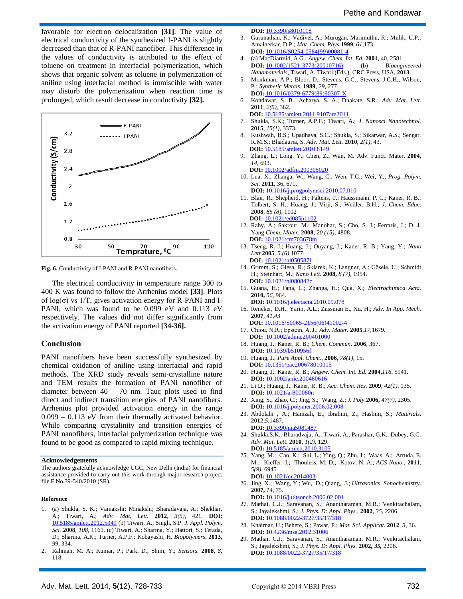favorable for electron delocalization **[31]**. The value of electrical conductivity of the synthesized I-PANI is slightly decreased than that of R-PANI nanofiber. This difference in the values of conductivity is attributed to the effect of toluene on treatment in interfacial polymerization, which shows that organic solvent as toluene in polymerization of aniline using interfacial method is immiscible with water may disturb the polymerization when reaction time is prolonged, which result decrease in conductivity **[32].**



**Fig. 6.** Conductivity of I-PANI and R-PANI nanofibers.

The electrical conductivity in temperature range 300 to 400 K was found to follow the Arrhenius model **[33]**. Plots of  $log(\sigma)$  vs 1/T, gives activation energy for R-PANI and I-PANI, which was found to be 0.099 eV and 0.113 eV respectively. The values did not differ significantly from the activation energy of PANI reported **[34-36].**

#### **Conclusion**

PANI nanofibers have been successfully synthesized by chemical oxidation of aniline using interfacial and rapid methods. The XRD study reveals semi-crystalline nature and TEM results the formation of PANI nanofiber of diameter between  $40 - 70$  nm. Tauc plots used to find direct and indirect transition energies of PANI nanofibers. Arrhenius plot provided activation energy in the range 0.099 – 0.113 eV from their thermally activated behavior. While comparing crystalinity and transition energies of PANI nanofibers, interfacial polymerization technique was found to be good as compared to rapid mixing technique.

#### **Acknowledgements**

The authors gratefully acknowledge UGC, New Delhi (India) for financial assistance provided to carry out this work through major research project file F No.39-540/2010 (SR).

#### **Reference**

- 1. (a) Shukla, S. K.; Vamakshi; Minakshi; Bharadavaja, A.; Shekhar, A.; Tiwari, A.; *Adv. Mat. Lett.* **2012**, *3(5),* 421. **DOI:** 10.5185/amlett.2012.5349 (b) Tiwari, A.; Singh, S.P. *J. Appl. Polym. Sci.* **2008**, *108*, 1169. (c) Tiwari, A.; Sharma, Y.; Hattori, S.; Terada, D.; Sharma, A.K.; Turner, A.P.F.; Kobayashi, H. *Biopolymers*, **2013**, *99*, 334.
- 2. Rahman, M. A.; Kumar, P.; Park, D.; Shim, Y.; *Sensors.* **2008**, *8,* 118.

**DOI:** [10.3390/s8010118](http://dx.doi.org/10.3390/s8010118)

- 3. Gurunathan, K.; Vadivel, A.; Murugan, Marimuthu, R.; Mulik, U.P.; Amalnerkar, D.P.; *Mat .Chem. Phys.***1999**, *61,*173. **DOI:** 10.1016/S0254-0584(99)00081-4
- 4. (a) MacDiarmid, A.G.; *Angew. Chem. Int. Ed.* **2001**, 40, 2581. **DOI:** 10.1002/1521-3773(20010716) (b) *Bioengineered Nanomaterials*, Tiwari, A. Tiwari (Eds.), CRC Press, USA, **2013**.
- 5. Monkman, A.P.; Bloor, D.; Stevens, G.C.; Stevens, J.C.H.; Wilson, P.; *Synthetic Metals*. **1989**, *29*, 277. **DOI:** 10.1016/0379-6779(89)90307-X
- 6. Kondawar, S. B., Acharya, S. A.; Dhakate, S.R.; *Adv. Mat. Lett.* **2011**, *2(5),* 362.  **DOI:** 10.5185/amlett.2011.9107am2011
- 7. Shukla, S.K.; Turner, A.P.F.; Tiwari, A.; *J. Nanosci Nanotechnol.* **2015**, *15(1)*, 3373.
- 8. Kushwah, B.S.; Upadhaya, S.C.; Shukla, S.; Sikarwar, A.S.; Sengar, R.M.S.; Bhadauria, S. *Adv. Mat. Lett.* **2010**, *2(1)*, 43.  **DOI:** 10.5185/amlett.2010.8149
- 9. Zhang, L.; Long, Y.; Chen, Z.; Wan, M. Adv. Funct. Mater. **2004**, *14*, 693.  **DOI:** 10.1002/adfm.200305020
- 10. Lua, X.; Zhanga, W.; Wang, C.; Wen, T.C.; Wei, Y.; *Prog. Polym. Sci.* **2011**, 36, 671.
- **DOI:** 10.1016/j.progpolymsci.2010.07.010 11. Blair, R.; Shepherd, H.; Faltens, T.; Haussmann, P. C.; Kaner, R. B.; Tolbert, S. H.; Huang, J.; Virji, S.; Weiller, B.H.; *J. Chem. Educ.* **2008**, *85 (8),* 1102  **DOI:** 10.1021/ed085p1102
- 12. Rahy, A.; Sakrout, M.; Manohar, S.; Cho, S. J.; Ferraris, J.; D. J. Yang *Chem. Mater.* **2008**, *20 (15),* 4808. **DOI:** 10.1021/cm703678m
- 13. Tseng, R. J.; Huang, J.; Ouyang, J.; Kaner, R. B.; Yang, Y.; *Nano Lett.***2005**, *5 (6)*,1077. **DOI:** 10.1021/nl050587l
- 14. Grimm, S.; Giesa, R.; Sklarek, K.; Langner, A.; Gösele, U.; Schmidt H.; Steinhart, M.; *Nano Lett.* **2008,** *8 (7),* 1954. **DOI:** 10.1021/nl080842c
- 15. Guana, H.; Fana, L.; Zhanga, H.; Qua, X.; *Electrochimica Acta.*  **2010,** *56*, 964.
- **DOI:** 10.1016/j.electacta.2010.09.078 16. Reneker, D.H.; Yarin, A.L.; Zussman E., Xu, H.; *Adv. In App. Mech*.
- **2007**, *41,43* **DOI:** 10.1016/S0065-2156(06)41002-4
- 17. Chiou, N.R.; Epstein, A. J.; *Adv. Mater.* **2005**,*17*,1679. **DOI:** 10.1002/adma.200401000
- 18. Huang, J.; Kaner, R. B.; *Chem. Commun*. **2006**, 367. **DOI:** 10.1039/b510956f
- 19. Huang, J.; *Pure Appl. Chem*., **2006**, *78(1),* 15.  **DOI:** 10.1351/pac200678010015
- 20. Huang, J.; Kaner, R. B.; *Angew. Chem. Int. Ed.* **2004**,*116*, 5941. **DOI:** 10.1002/anie.200460616
- 21. [Li D.;](http://www.ncbi.nlm.nih.gov/pubmed?term=Li%20D%5BAuthor%5D&cauthor=true&cauthor_uid=18986177) Huang, J.; Kaner, R. B.; *[Acc. Chem. Res.](http://www.ncbi.nlm.nih.gov/pubmed/18986177)* **2009**, *42(1),* 135. **DOI:** 10.1021/ar800080n
- 22. [Xing,](http://www.sciencedirect.com/science/article/pii/S0032386106001650) S.; [Zhao,](http://www.sciencedirect.com/science/article/pii/S0032386106001650) C.; Jing, S.; Wang, Z.; J*. Poly.***2006,** *47(7),* 2305. **DOI:** 10.1016/j.polymer.2006.02.008
- 23. Abdolahi , A.; Hamzah, E.; Ibrahim, Z.; Hashim, S.; *Materials*. **2012**,*5*,1487. **DOI:** 10.3390/ma5081487
- 24. Shukla,S.K.; Bharadvaja, A.; Tiwari, A.; Parashar, G.K.; Dubey, G.C. *Adv. Mat. Lett.* **2010**, *1(2),* 129. **DOI:** 10.5185/amlett.2010.3105
- 25. [Yang,](http://www.ncbi.nlm.nih.gov/pubmed/?term=Yang%20M%5Bauth%5D) M.[; Cao,](http://www.ncbi.nlm.nih.gov/pubmed/?term=Cao%20K%5Bauth%5D) K.[; Sui,](http://www.ncbi.nlm.nih.gov/pubmed/?term=Sui%20L%5Bauth%5D) L.; [Ying, Q.;](http://www.ncbi.nlm.nih.gov/pubmed/?term=Qi%20Y%5Bauth%5D) [Zhu,](http://www.ncbi.nlm.nih.gov/pubmed/?term=Zhu%20J%5Bauth%5D) J.[; Waas,](http://www.ncbi.nlm.nih.gov/pubmed/?term=Waas%20A%5Bauth%5D) A.[; Arruda,](http://www.ncbi.nlm.nih.gov/pubmed/?term=Arruda%20EM%5Bauth%5D) E. M.; [Kieffer,](http://www.ncbi.nlm.nih.gov/pubmed/?term=Kieffer%20J%5Bauth%5D) J.; [Thouless,](http://www.ncbi.nlm.nih.gov/pubmed/?term=Thouless%20MD%5Bauth%5D) M. D.; [Kotov,](http://www.ncbi.nlm.nih.gov/pubmed/?term=Kotov%20NA%5Bauth%5D) N. A.; *[ACS Nano.,](http://www.ncbi.nlm.nih.gov/entrez/eutils/elink.fcgi?dbfrom=pubmed&retmode=ref&cmd=prlinks&id=21800822)* **2011**, *5(9),* [6945.](http://www.ncbi.nlm.nih.gov/entrez/eutils/elink.fcgi?dbfrom=pubmed&retmode=ref&cmd=prlinks&id=21800822)  **DOI:** [10.1021/nn2014003](http://dx.doi.org/10.1021%2Fnn2014003)
- 26. Jing, X.; Wang, Y.; Wu, D.; Qiang, J.; *Ultrasonics Sonochemistry*. **2007,** *14*, 75.
- **DOI:** 10.1016/j.ultsonch.2006.02.001
- 27. Mathai, C.J.; Saravanan, S.; Anantharaman, M.R.; Venkitachalam, S.; Jayalekshmi, S.; *J. Phys. D: Appl. Phys.,* **2002**, *35*, 2206. **DOI:** 10.1088/0022-3727/35/17/318
- 28. Khairnar, U.; Behere, S.; Pawar, P.; *Mat. Sci. Applicat.* **2012**, *3*, 36. **DOI:** 10.4236/msa.2012.31006
- 29. Mathai, C.J.; Saravanan, S.; Anantharaman, M.R.; Venkitachalam, S.; Jayalekshmi, S.; *J. Phys. D: Appl. Phys.* **2002,** *35,* 2206. **DOI:** 10.1088/0022-3727/35/17/318